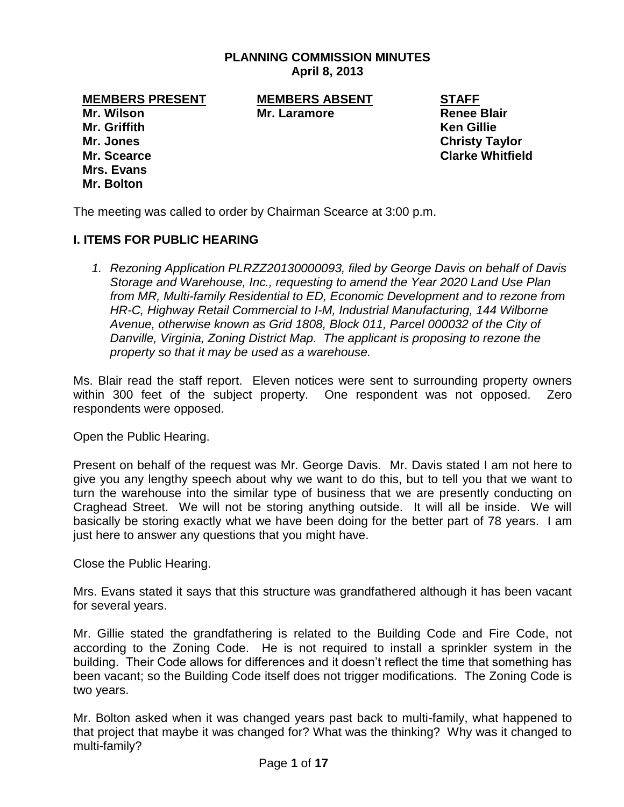### **PLANNING COMMISSION MINUTES April 8, 2013**

**MEMBERS PRESENT MEMBERS ABSENT STAFF Mr. Wilson Mr. Laramore Renee Blair Mr. Griffith Ken Gillie Mr. Jones Christy Taylor Mr. Scearce Clarke Whitfield Mrs. Evans Mr. Bolton**

The meeting was called to order by Chairman Scearce at 3:00 p.m.

### **I. ITEMS FOR PUBLIC HEARING**

*1. Rezoning Application PLRZZ20130000093, filed by George Davis on behalf of Davis Storage and Warehouse, Inc., requesting to amend the Year 2020 Land Use Plan from MR, Multi-family Residential to ED, Economic Development and to rezone from HR-C, Highway Retail Commercial to I-M, Industrial Manufacturing, 144 Wilborne Avenue, otherwise known as Grid 1808, Block 011, Parcel 000032 of the City of Danville, Virginia, Zoning District Map. The applicant is proposing to rezone the property so that it may be used as a warehouse.*

Ms. Blair read the staff report. Eleven notices were sent to surrounding property owners within 300 feet of the subject property. One respondent was not opposed. Zero respondents were opposed.

Open the Public Hearing.

Present on behalf of the request was Mr. George Davis. Mr. Davis stated I am not here to give you any lengthy speech about why we want to do this, but to tell you that we want to turn the warehouse into the similar type of business that we are presently conducting on Craghead Street. We will not be storing anything outside. It will all be inside. We will basically be storing exactly what we have been doing for the better part of 78 years. I am just here to answer any questions that you might have.

Close the Public Hearing.

Mrs. Evans stated it says that this structure was grandfathered although it has been vacant for several years.

Mr. Gillie stated the grandfathering is related to the Building Code and Fire Code, not according to the Zoning Code. He is not required to install a sprinkler system in the building. Their Code allows for differences and it doesn't reflect the time that something has been vacant; so the Building Code itself does not trigger modifications. The Zoning Code is two years.

Mr. Bolton asked when it was changed years past back to multi-family, what happened to that project that maybe it was changed for? What was the thinking? Why was it changed to multi-family?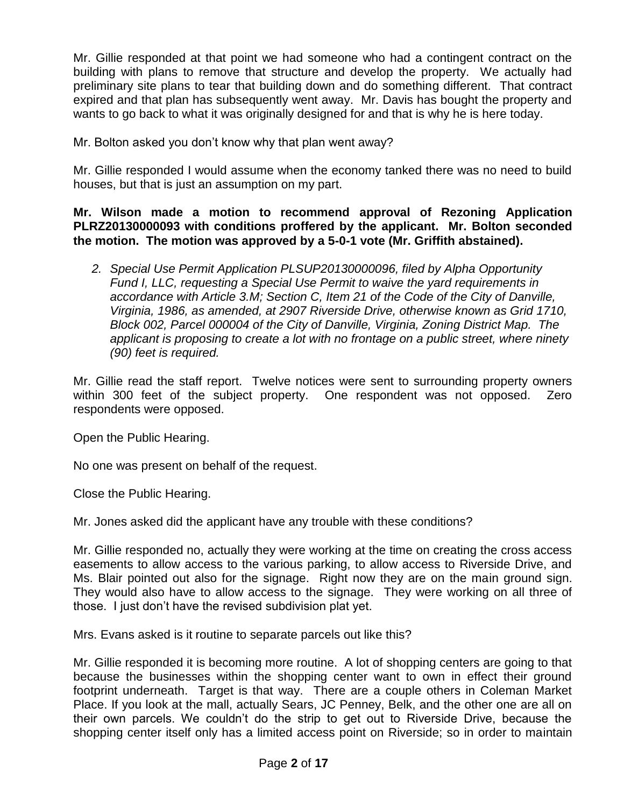Mr. Gillie responded at that point we had someone who had a contingent contract on the building with plans to remove that structure and develop the property. We actually had preliminary site plans to tear that building down and do something different. That contract expired and that plan has subsequently went away. Mr. Davis has bought the property and wants to go back to what it was originally designed for and that is why he is here today.

Mr. Bolton asked you don't know why that plan went away?

Mr. Gillie responded I would assume when the economy tanked there was no need to build houses, but that is just an assumption on my part.

**Mr. Wilson made a motion to recommend approval of Rezoning Application PLRZ20130000093 with conditions proffered by the applicant. Mr. Bolton seconded the motion. The motion was approved by a 5-0-1 vote (Mr. Griffith abstained).** 

*2. Special Use Permit Application PLSUP20130000096, filed by Alpha Opportunity Fund I, LLC, requesting a Special Use Permit to waive the yard requirements in accordance with Article 3.M; Section C, Item 21 of the Code of the City of Danville, Virginia, 1986, as amended, at 2907 Riverside Drive, otherwise known as Grid 1710, Block 002, Parcel 000004 of the City of Danville, Virginia, Zoning District Map. The applicant is proposing to create a lot with no frontage on a public street, where ninety (90) feet is required.* 

Mr. Gillie read the staff report. Twelve notices were sent to surrounding property owners within 300 feet of the subject property. One respondent was not opposed. Zero respondents were opposed.

Open the Public Hearing.

No one was present on behalf of the request.

Close the Public Hearing.

Mr. Jones asked did the applicant have any trouble with these conditions?

Mr. Gillie responded no, actually they were working at the time on creating the cross access easements to allow access to the various parking, to allow access to Riverside Drive, and Ms. Blair pointed out also for the signage. Right now they are on the main ground sign. They would also have to allow access to the signage. They were working on all three of those. I just don't have the revised subdivision plat yet.

Mrs. Evans asked is it routine to separate parcels out like this?

Mr. Gillie responded it is becoming more routine. A lot of shopping centers are going to that because the businesses within the shopping center want to own in effect their ground footprint underneath. Target is that way. There are a couple others in Coleman Market Place. If you look at the mall, actually Sears, JC Penney, Belk, and the other one are all on their own parcels. We couldn't do the strip to get out to Riverside Drive, because the shopping center itself only has a limited access point on Riverside; so in order to maintain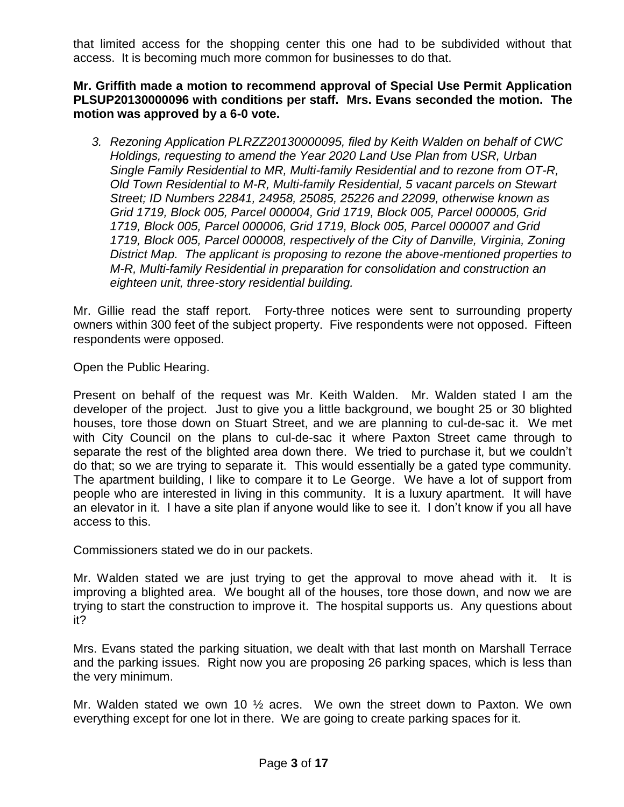that limited access for the shopping center this one had to be subdivided without that access. It is becoming much more common for businesses to do that.

**Mr. Griffith made a motion to recommend approval of Special Use Permit Application PLSUP20130000096 with conditions per staff. Mrs. Evans seconded the motion. The motion was approved by a 6-0 vote.** 

*3. Rezoning Application PLRZZ20130000095, filed by Keith Walden on behalf of CWC Holdings, requesting to amend the Year 2020 Land Use Plan from USR, Urban Single Family Residential to MR, Multi-family Residential and to rezone from OT-R, Old Town Residential to M-R, Multi-family Residential, 5 vacant parcels on Stewart Street; ID Numbers 22841, 24958, 25085, 25226 and 22099, otherwise known as Grid 1719, Block 005, Parcel 000004, Grid 1719, Block 005, Parcel 000005, Grid 1719, Block 005, Parcel 000006, Grid 1719, Block 005, Parcel 000007 and Grid 1719, Block 005, Parcel 000008, respectively of the City of Danville, Virginia, Zoning District Map. The applicant is proposing to rezone the above-mentioned properties to M-R, Multi-family Residential in preparation for consolidation and construction an eighteen unit, three-story residential building.*

Mr. Gillie read the staff report. Forty-three notices were sent to surrounding property owners within 300 feet of the subject property. Five respondents were not opposed. Fifteen respondents were opposed.

Open the Public Hearing.

Present on behalf of the request was Mr. Keith Walden. Mr. Walden stated I am the developer of the project. Just to give you a little background, we bought 25 or 30 blighted houses, tore those down on Stuart Street, and we are planning to cul-de-sac it. We met with City Council on the plans to cul-de-sac it where Paxton Street came through to separate the rest of the blighted area down there. We tried to purchase it, but we couldn't do that; so we are trying to separate it. This would essentially be a gated type community. The apartment building, I like to compare it to Le George. We have a lot of support from people who are interested in living in this community. It is a luxury apartment. It will have an elevator in it. I have a site plan if anyone would like to see it. I don't know if you all have access to this.

Commissioners stated we do in our packets.

Mr. Walden stated we are just trying to get the approval to move ahead with it. It is improving a blighted area. We bought all of the houses, tore those down, and now we are trying to start the construction to improve it. The hospital supports us. Any questions about it?

Mrs. Evans stated the parking situation, we dealt with that last month on Marshall Terrace and the parking issues. Right now you are proposing 26 parking spaces, which is less than the very minimum.

Mr. Walden stated we own 10 ½ acres. We own the street down to Paxton. We own everything except for one lot in there. We are going to create parking spaces for it.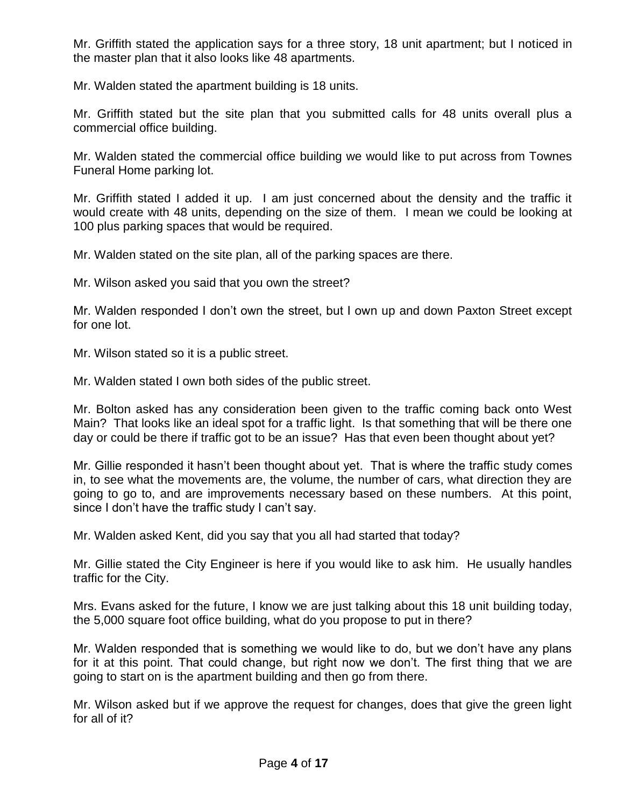Mr. Griffith stated the application says for a three story, 18 unit apartment; but I noticed in the master plan that it also looks like 48 apartments.

Mr. Walden stated the apartment building is 18 units.

Mr. Griffith stated but the site plan that you submitted calls for 48 units overall plus a commercial office building.

Mr. Walden stated the commercial office building we would like to put across from Townes Funeral Home parking lot.

Mr. Griffith stated I added it up. I am just concerned about the density and the traffic it would create with 48 units, depending on the size of them. I mean we could be looking at 100 plus parking spaces that would be required.

Mr. Walden stated on the site plan, all of the parking spaces are there.

Mr. Wilson asked you said that you own the street?

Mr. Walden responded I don't own the street, but I own up and down Paxton Street except for one lot.

Mr. Wilson stated so it is a public street.

Mr. Walden stated I own both sides of the public street.

Mr. Bolton asked has any consideration been given to the traffic coming back onto West Main? That looks like an ideal spot for a traffic light. Is that something that will be there one day or could be there if traffic got to be an issue? Has that even been thought about yet?

Mr. Gillie responded it hasn't been thought about yet. That is where the traffic study comes in, to see what the movements are, the volume, the number of cars, what direction they are going to go to, and are improvements necessary based on these numbers. At this point, since I don't have the traffic study I can't say.

Mr. Walden asked Kent, did you say that you all had started that today?

Mr. Gillie stated the City Engineer is here if you would like to ask him. He usually handles traffic for the City.

Mrs. Evans asked for the future, I know we are just talking about this 18 unit building today, the 5,000 square foot office building, what do you propose to put in there?

Mr. Walden responded that is something we would like to do, but we don't have any plans for it at this point. That could change, but right now we don't. The first thing that we are going to start on is the apartment building and then go from there.

Mr. Wilson asked but if we approve the request for changes, does that give the green light for all of it?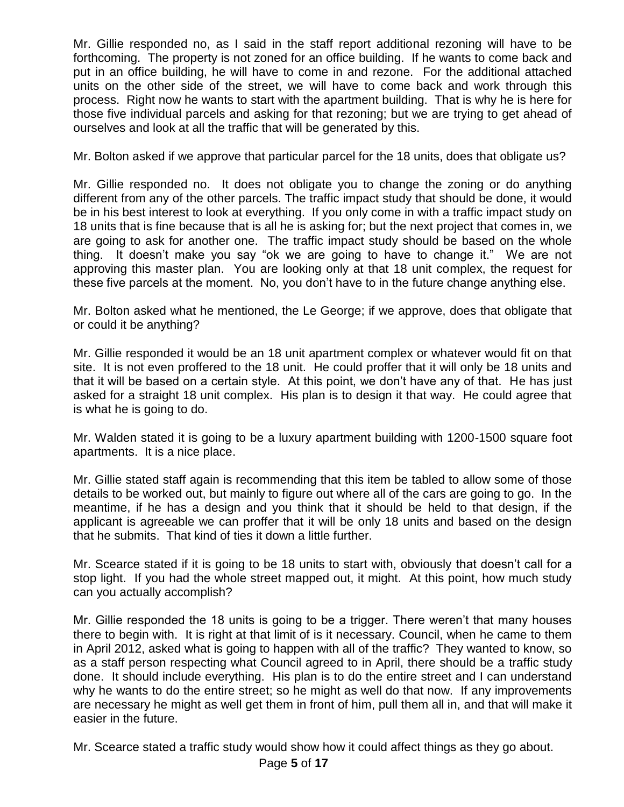Mr. Gillie responded no, as I said in the staff report additional rezoning will have to be forthcoming. The property is not zoned for an office building. If he wants to come back and put in an office building, he will have to come in and rezone. For the additional attached units on the other side of the street, we will have to come back and work through this process. Right now he wants to start with the apartment building. That is why he is here for those five individual parcels and asking for that rezoning; but we are trying to get ahead of ourselves and look at all the traffic that will be generated by this.

Mr. Bolton asked if we approve that particular parcel for the 18 units, does that obligate us?

Mr. Gillie responded no. It does not obligate you to change the zoning or do anything different from any of the other parcels. The traffic impact study that should be done, it would be in his best interest to look at everything. If you only come in with a traffic impact study on 18 units that is fine because that is all he is asking for; but the next project that comes in, we are going to ask for another one. The traffic impact study should be based on the whole thing. It doesn't make you say "ok we are going to have to change it." We are not approving this master plan. You are looking only at that 18 unit complex, the request for these five parcels at the moment. No, you don't have to in the future change anything else.

Mr. Bolton asked what he mentioned, the Le George; if we approve, does that obligate that or could it be anything?

Mr. Gillie responded it would be an 18 unit apartment complex or whatever would fit on that site. It is not even proffered to the 18 unit. He could proffer that it will only be 18 units and that it will be based on a certain style. At this point, we don't have any of that. He has just asked for a straight 18 unit complex. His plan is to design it that way. He could agree that is what he is going to do.

Mr. Walden stated it is going to be a luxury apartment building with 1200-1500 square foot apartments. It is a nice place.

Mr. Gillie stated staff again is recommending that this item be tabled to allow some of those details to be worked out, but mainly to figure out where all of the cars are going to go. In the meantime, if he has a design and you think that it should be held to that design, if the applicant is agreeable we can proffer that it will be only 18 units and based on the design that he submits. That kind of ties it down a little further.

Mr. Scearce stated if it is going to be 18 units to start with, obviously that doesn't call for a stop light. If you had the whole street mapped out, it might. At this point, how much study can you actually accomplish?

Mr. Gillie responded the 18 units is going to be a trigger. There weren't that many houses there to begin with. It is right at that limit of is it necessary. Council, when he came to them in April 2012, asked what is going to happen with all of the traffic? They wanted to know, so as a staff person respecting what Council agreed to in April, there should be a traffic study done. It should include everything. His plan is to do the entire street and I can understand why he wants to do the entire street; so he might as well do that now. If any improvements are necessary he might as well get them in front of him, pull them all in, and that will make it easier in the future.

Mr. Scearce stated a traffic study would show how it could affect things as they go about.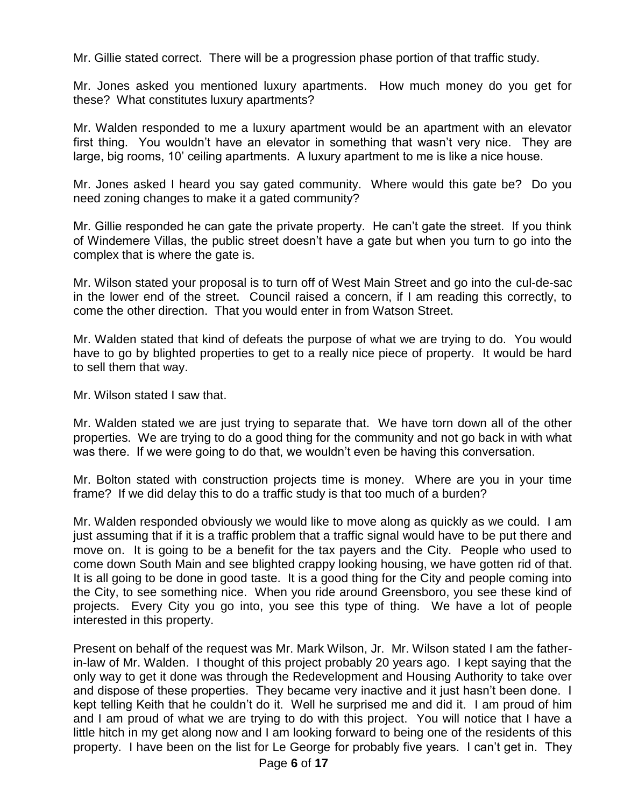Mr. Gillie stated correct. There will be a progression phase portion of that traffic study.

Mr. Jones asked you mentioned luxury apartments. How much money do you get for these? What constitutes luxury apartments?

Mr. Walden responded to me a luxury apartment would be an apartment with an elevator first thing. You wouldn't have an elevator in something that wasn't very nice. They are large, big rooms, 10' ceiling apartments. A luxury apartment to me is like a nice house.

Mr. Jones asked I heard you say gated community. Where would this gate be? Do you need zoning changes to make it a gated community?

Mr. Gillie responded he can gate the private property. He can't gate the street. If you think of Windemere Villas, the public street doesn't have a gate but when you turn to go into the complex that is where the gate is.

Mr. Wilson stated your proposal is to turn off of West Main Street and go into the cul-de-sac in the lower end of the street. Council raised a concern, if I am reading this correctly, to come the other direction. That you would enter in from Watson Street.

Mr. Walden stated that kind of defeats the purpose of what we are trying to do. You would have to go by blighted properties to get to a really nice piece of property. It would be hard to sell them that way.

Mr. Wilson stated I saw that.

Mr. Walden stated we are just trying to separate that. We have torn down all of the other properties. We are trying to do a good thing for the community and not go back in with what was there. If we were going to do that, we wouldn't even be having this conversation.

Mr. Bolton stated with construction projects time is money. Where are you in your time frame? If we did delay this to do a traffic study is that too much of a burden?

Mr. Walden responded obviously we would like to move along as quickly as we could. I am just assuming that if it is a traffic problem that a traffic signal would have to be put there and move on. It is going to be a benefit for the tax payers and the City. People who used to come down South Main and see blighted crappy looking housing, we have gotten rid of that. It is all going to be done in good taste. It is a good thing for the City and people coming into the City, to see something nice. When you ride around Greensboro, you see these kind of projects. Every City you go into, you see this type of thing. We have a lot of people interested in this property.

Present on behalf of the request was Mr. Mark Wilson, Jr. Mr. Wilson stated I am the fatherin-law of Mr. Walden. I thought of this project probably 20 years ago. I kept saying that the only way to get it done was through the Redevelopment and Housing Authority to take over and dispose of these properties. They became very inactive and it just hasn't been done. I kept telling Keith that he couldn't do it. Well he surprised me and did it. I am proud of him and I am proud of what we are trying to do with this project. You will notice that I have a little hitch in my get along now and I am looking forward to being one of the residents of this property. I have been on the list for Le George for probably five years. I can't get in. They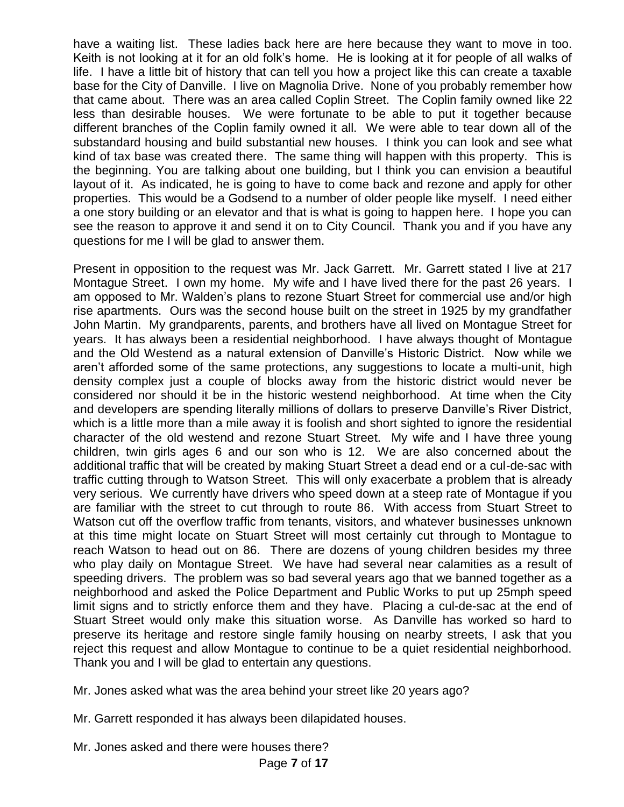have a waiting list. These ladies back here are here because they want to move in too. Keith is not looking at it for an old folk's home. He is looking at it for people of all walks of life. I have a little bit of history that can tell you how a project like this can create a taxable base for the City of Danville. I live on Magnolia Drive. None of you probably remember how that came about. There was an area called Coplin Street. The Coplin family owned like 22 less than desirable houses. We were fortunate to be able to put it together because different branches of the Coplin family owned it all. We were able to tear down all of the substandard housing and build substantial new houses. I think you can look and see what kind of tax base was created there. The same thing will happen with this property. This is the beginning. You are talking about one building, but I think you can envision a beautiful layout of it. As indicated, he is going to have to come back and rezone and apply for other properties. This would be a Godsend to a number of older people like myself. I need either a one story building or an elevator and that is what is going to happen here. I hope you can see the reason to approve it and send it on to City Council. Thank you and if you have any questions for me I will be glad to answer them.

Present in opposition to the request was Mr. Jack Garrett. Mr. Garrett stated I live at 217 Montague Street. I own my home. My wife and I have lived there for the past 26 years. I am opposed to Mr. Walden's plans to rezone Stuart Street for commercial use and/or high rise apartments. Ours was the second house built on the street in 1925 by my grandfather John Martin. My grandparents, parents, and brothers have all lived on Montague Street for years. It has always been a residential neighborhood. I have always thought of Montague and the Old Westend as a natural extension of Danville's Historic District. Now while we aren't afforded some of the same protections, any suggestions to locate a multi-unit, high density complex just a couple of blocks away from the historic district would never be considered nor should it be in the historic westend neighborhood. At time when the City and developers are spending literally millions of dollars to preserve Danville's River District, which is a little more than a mile away it is foolish and short sighted to ignore the residential character of the old westend and rezone Stuart Street. My wife and I have three young children, twin girls ages 6 and our son who is 12. We are also concerned about the additional traffic that will be created by making Stuart Street a dead end or a cul-de-sac with traffic cutting through to Watson Street. This will only exacerbate a problem that is already very serious. We currently have drivers who speed down at a steep rate of Montague if you are familiar with the street to cut through to route 86. With access from Stuart Street to Watson cut off the overflow traffic from tenants, visitors, and whatever businesses unknown at this time might locate on Stuart Street will most certainly cut through to Montague to reach Watson to head out on 86. There are dozens of young children besides my three who play daily on Montague Street. We have had several near calamities as a result of speeding drivers. The problem was so bad several years ago that we banned together as a neighborhood and asked the Police Department and Public Works to put up 25mph speed limit signs and to strictly enforce them and they have. Placing a cul-de-sac at the end of Stuart Street would only make this situation worse. As Danville has worked so hard to preserve its heritage and restore single family housing on nearby streets, I ask that you reject this request and allow Montague to continue to be a quiet residential neighborhood. Thank you and I will be glad to entertain any questions.

Mr. Jones asked what was the area behind your street like 20 years ago?

Mr. Garrett responded it has always been dilapidated houses.

Mr. Jones asked and there were houses there?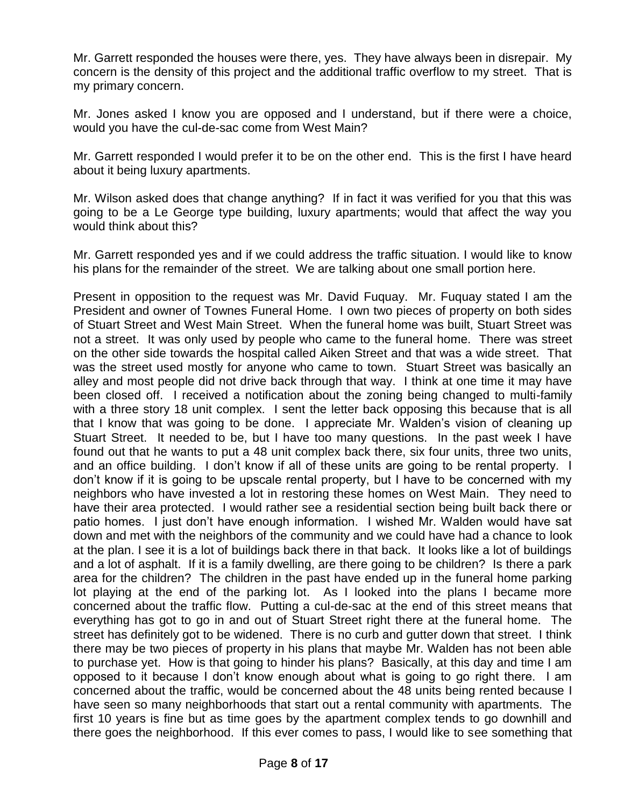Mr. Garrett responded the houses were there, yes. They have always been in disrepair. My concern is the density of this project and the additional traffic overflow to my street. That is my primary concern.

Mr. Jones asked I know you are opposed and I understand, but if there were a choice, would you have the cul-de-sac come from West Main?

Mr. Garrett responded I would prefer it to be on the other end. This is the first I have heard about it being luxury apartments.

Mr. Wilson asked does that change anything? If in fact it was verified for you that this was going to be a Le George type building, luxury apartments; would that affect the way you would think about this?

Mr. Garrett responded yes and if we could address the traffic situation. I would like to know his plans for the remainder of the street. We are talking about one small portion here.

Present in opposition to the request was Mr. David Fuquay. Mr. Fuquay stated I am the President and owner of Townes Funeral Home. I own two pieces of property on both sides of Stuart Street and West Main Street. When the funeral home was built, Stuart Street was not a street. It was only used by people who came to the funeral home. There was street on the other side towards the hospital called Aiken Street and that was a wide street. That was the street used mostly for anyone who came to town. Stuart Street was basically an alley and most people did not drive back through that way. I think at one time it may have been closed off. I received a notification about the zoning being changed to multi-family with a three story 18 unit complex. I sent the letter back opposing this because that is all that I know that was going to be done. I appreciate Mr. Walden's vision of cleaning up Stuart Street. It needed to be, but I have too many questions. In the past week I have found out that he wants to put a 48 unit complex back there, six four units, three two units, and an office building. I don't know if all of these units are going to be rental property. I don't know if it is going to be upscale rental property, but I have to be concerned with my neighbors who have invested a lot in restoring these homes on West Main. They need to have their area protected. I would rather see a residential section being built back there or patio homes. I just don't have enough information. I wished Mr. Walden would have sat down and met with the neighbors of the community and we could have had a chance to look at the plan. I see it is a lot of buildings back there in that back. It looks like a lot of buildings and a lot of asphalt. If it is a family dwelling, are there going to be children? Is there a park area for the children? The children in the past have ended up in the funeral home parking lot playing at the end of the parking lot. As I looked into the plans I became more concerned about the traffic flow. Putting a cul-de-sac at the end of this street means that everything has got to go in and out of Stuart Street right there at the funeral home. The street has definitely got to be widened. There is no curb and gutter down that street. I think there may be two pieces of property in his plans that maybe Mr. Walden has not been able to purchase yet. How is that going to hinder his plans? Basically, at this day and time I am opposed to it because I don't know enough about what is going to go right there. I am concerned about the traffic, would be concerned about the 48 units being rented because I have seen so many neighborhoods that start out a rental community with apartments. The first 10 years is fine but as time goes by the apartment complex tends to go downhill and there goes the neighborhood. If this ever comes to pass, I would like to see something that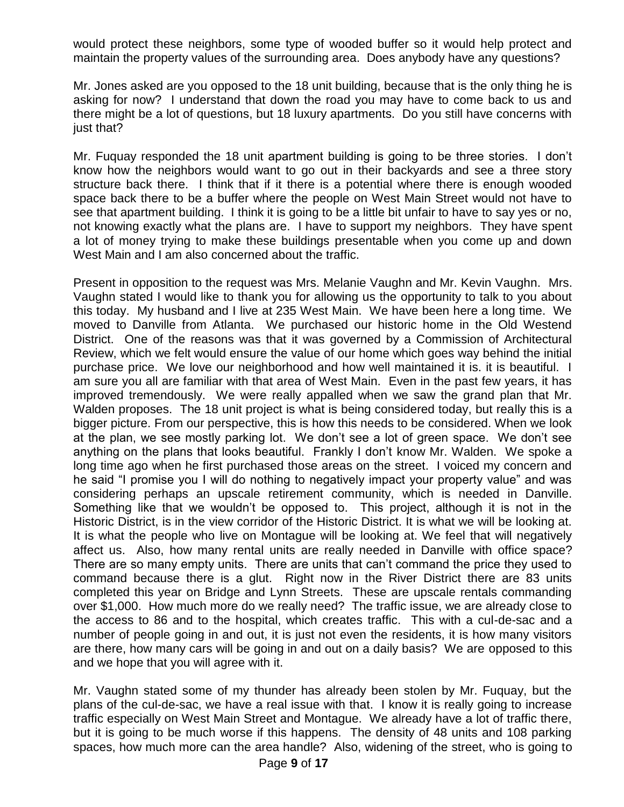would protect these neighbors, some type of wooded buffer so it would help protect and maintain the property values of the surrounding area. Does anybody have any questions?

Mr. Jones asked are you opposed to the 18 unit building, because that is the only thing he is asking for now? I understand that down the road you may have to come back to us and there might be a lot of questions, but 18 luxury apartments. Do you still have concerns with just that?

Mr. Fuquay responded the 18 unit apartment building is going to be three stories. I don't know how the neighbors would want to go out in their backyards and see a three story structure back there. I think that if it there is a potential where there is enough wooded space back there to be a buffer where the people on West Main Street would not have to see that apartment building. I think it is going to be a little bit unfair to have to say yes or no, not knowing exactly what the plans are. I have to support my neighbors. They have spent a lot of money trying to make these buildings presentable when you come up and down West Main and I am also concerned about the traffic.

Present in opposition to the request was Mrs. Melanie Vaughn and Mr. Kevin Vaughn. Mrs. Vaughn stated I would like to thank you for allowing us the opportunity to talk to you about this today. My husband and I live at 235 West Main. We have been here a long time. We moved to Danville from Atlanta. We purchased our historic home in the Old Westend District. One of the reasons was that it was governed by a Commission of Architectural Review, which we felt would ensure the value of our home which goes way behind the initial purchase price. We love our neighborhood and how well maintained it is. it is beautiful. I am sure you all are familiar with that area of West Main. Even in the past few years, it has improved tremendously. We were really appalled when we saw the grand plan that Mr. Walden proposes. The 18 unit project is what is being considered today, but really this is a bigger picture. From our perspective, this is how this needs to be considered. When we look at the plan, we see mostly parking lot. We don't see a lot of green space. We don't see anything on the plans that looks beautiful. Frankly I don't know Mr. Walden. We spoke a long time ago when he first purchased those areas on the street. I voiced my concern and he said "I promise you I will do nothing to negatively impact your property value" and was considering perhaps an upscale retirement community, which is needed in Danville. Something like that we wouldn't be opposed to. This project, although it is not in the Historic District, is in the view corridor of the Historic District. It is what we will be looking at. It is what the people who live on Montague will be looking at. We feel that will negatively affect us. Also, how many rental units are really needed in Danville with office space? There are so many empty units. There are units that can't command the price they used to command because there is a glut. Right now in the River District there are 83 units completed this year on Bridge and Lynn Streets. These are upscale rentals commanding over \$1,000. How much more do we really need? The traffic issue, we are already close to the access to 86 and to the hospital, which creates traffic. This with a cul-de-sac and a number of people going in and out, it is just not even the residents, it is how many visitors are there, how many cars will be going in and out on a daily basis? We are opposed to this and we hope that you will agree with it.

Mr. Vaughn stated some of my thunder has already been stolen by Mr. Fuquay, but the plans of the cul-de-sac, we have a real issue with that. I know it is really going to increase traffic especially on West Main Street and Montague. We already have a lot of traffic there, but it is going to be much worse if this happens. The density of 48 units and 108 parking spaces, how much more can the area handle? Also, widening of the street, who is going to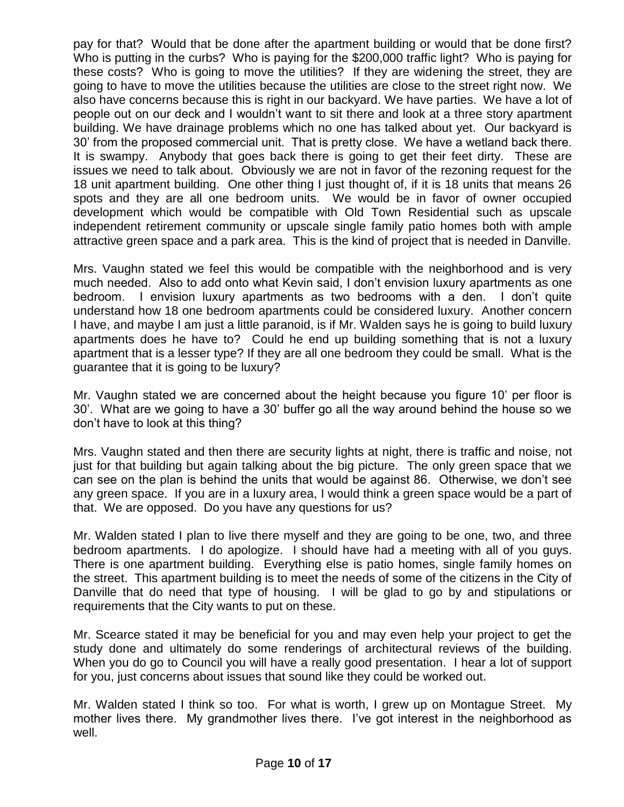pay for that? Would that be done after the apartment building or would that be done first? Who is putting in the curbs? Who is paying for the \$200,000 traffic light? Who is paying for these costs? Who is going to move the utilities? If they are widening the street, they are going to have to move the utilities because the utilities are close to the street right now. We also have concerns because this is right in our backyard. We have parties. We have a lot of people out on our deck and I wouldn't want to sit there and look at a three story apartment building. We have drainage problems which no one has talked about yet. Our backyard is 30' from the proposed commercial unit. That is pretty close. We have a wetland back there. It is swampy. Anybody that goes back there is going to get their feet dirty. These are issues we need to talk about. Obviously we are not in favor of the rezoning request for the 18 unit apartment building. One other thing I just thought of, if it is 18 units that means 26 spots and they are all one bedroom units. We would be in favor of owner occupied development which would be compatible with Old Town Residential such as upscale independent retirement community or upscale single family patio homes both with ample attractive green space and a park area. This is the kind of project that is needed in Danville.

Mrs. Vaughn stated we feel this would be compatible with the neighborhood and is very much needed. Also to add onto what Kevin said, I don't envision luxury apartments as one bedroom. I envision luxury apartments as two bedrooms with a den. I don't quite understand how 18 one bedroom apartments could be considered luxury. Another concern I have, and maybe I am just a little paranoid, is if Mr. Walden says he is going to build luxury apartments does he have to? Could he end up building something that is not a luxury apartment that is a lesser type? If they are all one bedroom they could be small. What is the guarantee that it is going to be luxury?

Mr. Vaughn stated we are concerned about the height because you figure 10' per floor is 30'. What are we going to have a 30' buffer go all the way around behind the house so we don't have to look at this thing?

Mrs. Vaughn stated and then there are security lights at night, there is traffic and noise, not just for that building but again talking about the big picture. The only green space that we can see on the plan is behind the units that would be against 86. Otherwise, we don't see any green space. If you are in a luxury area, I would think a green space would be a part of that. We are opposed. Do you have any questions for us?

Mr. Walden stated I plan to live there myself and they are going to be one, two, and three bedroom apartments. I do apologize. I should have had a meeting with all of you guys. There is one apartment building. Everything else is patio homes, single family homes on the street. This apartment building is to meet the needs of some of the citizens in the City of Danville that do need that type of housing. I will be glad to go by and stipulations or requirements that the City wants to put on these.

Mr. Scearce stated it may be beneficial for you and may even help your project to get the study done and ultimately do some renderings of architectural reviews of the building. When you do go to Council you will have a really good presentation. I hear a lot of support for you, just concerns about issues that sound like they could be worked out.

Mr. Walden stated I think so too. For what is worth, I grew up on Montague Street. My mother lives there. My grandmother lives there. I've got interest in the neighborhood as well.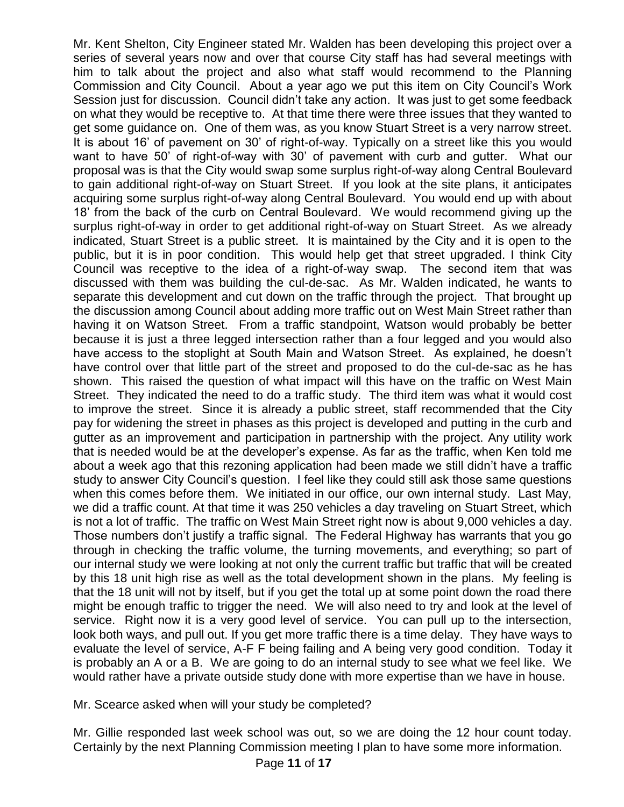Mr. Kent Shelton, City Engineer stated Mr. Walden has been developing this project over a series of several years now and over that course City staff has had several meetings with him to talk about the project and also what staff would recommend to the Planning Commission and City Council. About a year ago we put this item on City Council's Work Session just for discussion. Council didn't take any action. It was just to get some feedback on what they would be receptive to. At that time there were three issues that they wanted to get some guidance on. One of them was, as you know Stuart Street is a very narrow street. It is about 16' of pavement on 30' of right-of-way. Typically on a street like this you would want to have 50' of right-of-way with 30' of pavement with curb and gutter. What our proposal was is that the City would swap some surplus right-of-way along Central Boulevard to gain additional right-of-way on Stuart Street. If you look at the site plans, it anticipates acquiring some surplus right-of-way along Central Boulevard. You would end up with about 18' from the back of the curb on Central Boulevard. We would recommend giving up the surplus right-of-way in order to get additional right-of-way on Stuart Street. As we already indicated, Stuart Street is a public street. It is maintained by the City and it is open to the public, but it is in poor condition. This would help get that street upgraded. I think City Council was receptive to the idea of a right-of-way swap. The second item that was discussed with them was building the cul-de-sac. As Mr. Walden indicated, he wants to separate this development and cut down on the traffic through the project. That brought up the discussion among Council about adding more traffic out on West Main Street rather than having it on Watson Street. From a traffic standpoint, Watson would probably be better because it is just a three legged intersection rather than a four legged and you would also have access to the stoplight at South Main and Watson Street. As explained, he doesn't have control over that little part of the street and proposed to do the cul-de-sac as he has shown. This raised the question of what impact will this have on the traffic on West Main Street. They indicated the need to do a traffic study. The third item was what it would cost to improve the street. Since it is already a public street, staff recommended that the City pay for widening the street in phases as this project is developed and putting in the curb and gutter as an improvement and participation in partnership with the project. Any utility work that is needed would be at the developer's expense. As far as the traffic, when Ken told me about a week ago that this rezoning application had been made we still didn't have a traffic study to answer City Council's question. I feel like they could still ask those same questions when this comes before them. We initiated in our office, our own internal study. Last May, we did a traffic count. At that time it was 250 vehicles a day traveling on Stuart Street, which is not a lot of traffic. The traffic on West Main Street right now is about 9,000 vehicles a day. Those numbers don't justify a traffic signal. The Federal Highway has warrants that you go through in checking the traffic volume, the turning movements, and everything; so part of our internal study we were looking at not only the current traffic but traffic that will be created by this 18 unit high rise as well as the total development shown in the plans. My feeling is that the 18 unit will not by itself, but if you get the total up at some point down the road there might be enough traffic to trigger the need. We will also need to try and look at the level of service. Right now it is a very good level of service. You can pull up to the intersection, look both ways, and pull out. If you get more traffic there is a time delay. They have ways to evaluate the level of service, A-F F being failing and A being very good condition. Today it is probably an A or a B. We are going to do an internal study to see what we feel like. We would rather have a private outside study done with more expertise than we have in house.

Mr. Scearce asked when will your study be completed?

Mr. Gillie responded last week school was out, so we are doing the 12 hour count today. Certainly by the next Planning Commission meeting I plan to have some more information.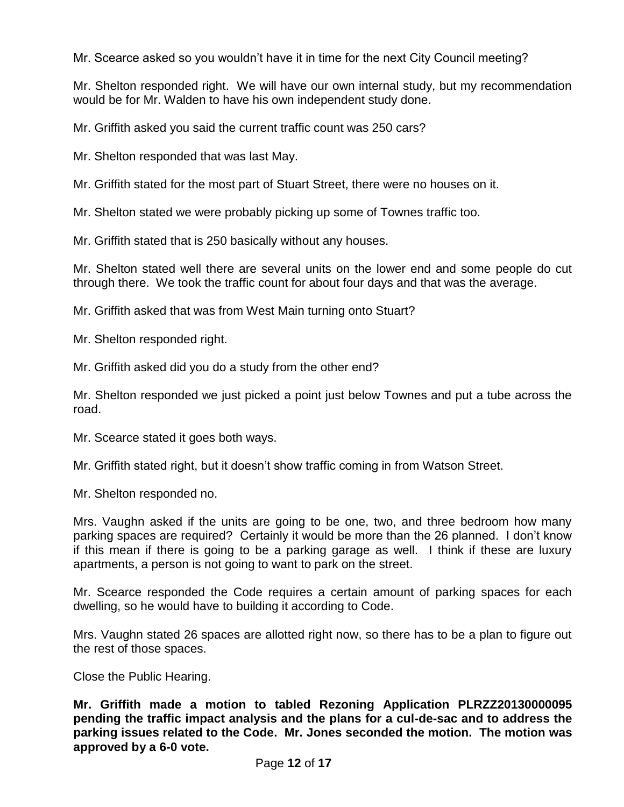Mr. Scearce asked so you wouldn't have it in time for the next City Council meeting?

Mr. Shelton responded right. We will have our own internal study, but my recommendation would be for Mr. Walden to have his own independent study done.

Mr. Griffith asked you said the current traffic count was 250 cars?

Mr. Shelton responded that was last May.

Mr. Griffith stated for the most part of Stuart Street, there were no houses on it.

Mr. Shelton stated we were probably picking up some of Townes traffic too.

Mr. Griffith stated that is 250 basically without any houses.

Mr. Shelton stated well there are several units on the lower end and some people do cut through there. We took the traffic count for about four days and that was the average.

Mr. Griffith asked that was from West Main turning onto Stuart?

Mr. Shelton responded right.

Mr. Griffith asked did you do a study from the other end?

Mr. Shelton responded we just picked a point just below Townes and put a tube across the road.

Mr. Scearce stated it goes both ways.

Mr. Griffith stated right, but it doesn't show traffic coming in from Watson Street.

Mr. Shelton responded no.

Mrs. Vaughn asked if the units are going to be one, two, and three bedroom how many parking spaces are required? Certainly it would be more than the 26 planned. I don't know if this mean if there is going to be a parking garage as well. I think if these are luxury apartments, a person is not going to want to park on the street.

Mr. Scearce responded the Code requires a certain amount of parking spaces for each dwelling, so he would have to building it according to Code.

Mrs. Vaughn stated 26 spaces are allotted right now, so there has to be a plan to figure out the rest of those spaces.

Close the Public Hearing.

**Mr. Griffith made a motion to tabled Rezoning Application PLRZZ20130000095 pending the traffic impact analysis and the plans for a cul-de-sac and to address the parking issues related to the Code. Mr. Jones seconded the motion. The motion was approved by a 6-0 vote.**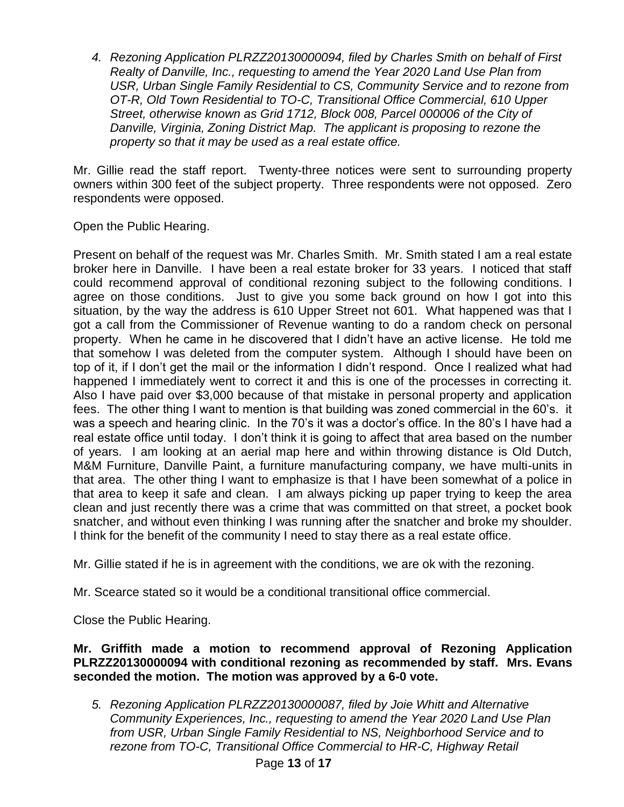*4. Rezoning Application PLRZZ20130000094, filed by Charles Smith on behalf of First Realty of Danville, Inc., requesting to amend the Year 2020 Land Use Plan from USR, Urban Single Family Residential to CS, Community Service and to rezone from OT-R, Old Town Residential to TO-C, Transitional Office Commercial, 610 Upper Street, otherwise known as Grid 1712, Block 008, Parcel 000006 of the City of Danville, Virginia, Zoning District Map. The applicant is proposing to rezone the property so that it may be used as a real estate office.*

Mr. Gillie read the staff report. Twenty-three notices were sent to surrounding property owners within 300 feet of the subject property. Three respondents were not opposed. Zero respondents were opposed.

Open the Public Hearing.

Present on behalf of the request was Mr. Charles Smith. Mr. Smith stated I am a real estate broker here in Danville. I have been a real estate broker for 33 years. I noticed that staff could recommend approval of conditional rezoning subject to the following conditions. I agree on those conditions. Just to give you some back ground on how I got into this situation, by the way the address is 610 Upper Street not 601. What happened was that I got a call from the Commissioner of Revenue wanting to do a random check on personal property. When he came in he discovered that I didn't have an active license. He told me that somehow I was deleted from the computer system. Although I should have been on top of it, if I don't get the mail or the information I didn't respond. Once I realized what had happened I immediately went to correct it and this is one of the processes in correcting it. Also I have paid over \$3,000 because of that mistake in personal property and application fees. The other thing I want to mention is that building was zoned commercial in the 60's. it was a speech and hearing clinic. In the 70's it was a doctor's office. In the 80's I have had a real estate office until today. I don't think it is going to affect that area based on the number of years. I am looking at an aerial map here and within throwing distance is Old Dutch, M&M Furniture, Danville Paint, a furniture manufacturing company, we have multi-units in that area. The other thing I want to emphasize is that I have been somewhat of a police in that area to keep it safe and clean. I am always picking up paper trying to keep the area clean and just recently there was a crime that was committed on that street, a pocket book snatcher, and without even thinking I was running after the snatcher and broke my shoulder. I think for the benefit of the community I need to stay there as a real estate office.

Mr. Gillie stated if he is in agreement with the conditions, we are ok with the rezoning.

Mr. Scearce stated so it would be a conditional transitional office commercial.

Close the Public Hearing.

## **Mr. Griffith made a motion to recommend approval of Rezoning Application PLRZZ20130000094 with conditional rezoning as recommended by staff. Mrs. Evans seconded the motion. The motion was approved by a 6-0 vote.**

*5. Rezoning Application PLRZZ20130000087, filed by Joie Whitt and Alternative Community Experiences, Inc., requesting to amend the Year 2020 Land Use Plan from USR, Urban Single Family Residential to NS, Neighborhood Service and to rezone from TO-C, Transitional Office Commercial to HR-C, Highway Retail*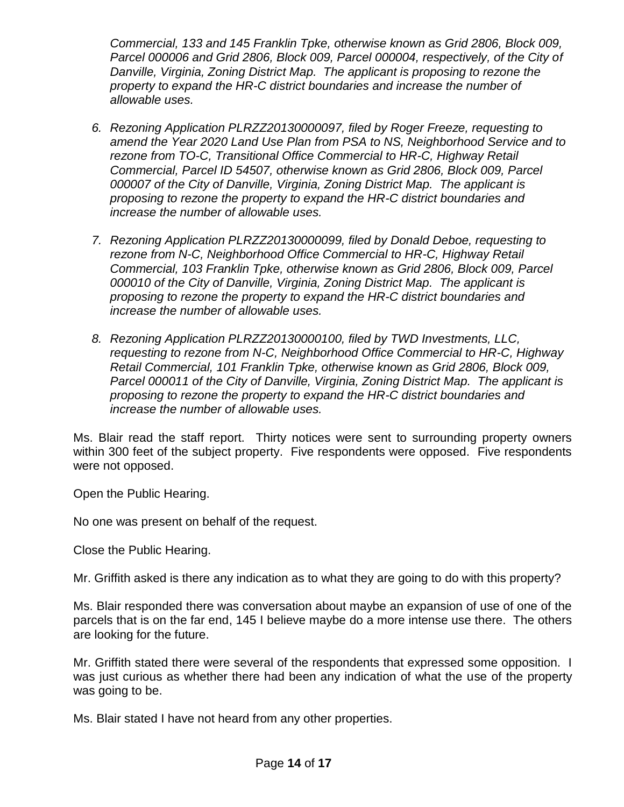*Commercial, 133 and 145 Franklin Tpke, otherwise known as Grid 2806, Block 009, Parcel 000006 and Grid 2806, Block 009, Parcel 000004, respectively, of the City of Danville, Virginia, Zoning District Map. The applicant is proposing to rezone the property to expand the HR-C district boundaries and increase the number of allowable uses.*

- *6. Rezoning Application PLRZZ20130000097, filed by Roger Freeze, requesting to amend the Year 2020 Land Use Plan from PSA to NS, Neighborhood Service and to rezone from TO-C, Transitional Office Commercial to HR-C, Highway Retail Commercial, Parcel ID 54507, otherwise known as Grid 2806, Block 009, Parcel 000007 of the City of Danville, Virginia, Zoning District Map. The applicant is proposing to rezone the property to expand the HR-C district boundaries and increase the number of allowable uses.*
- *7. Rezoning Application PLRZZ20130000099, filed by Donald Deboe, requesting to rezone from N-C, Neighborhood Office Commercial to HR-C, Highway Retail Commercial, 103 Franklin Tpke, otherwise known as Grid 2806, Block 009, Parcel 000010 of the City of Danville, Virginia, Zoning District Map. The applicant is proposing to rezone the property to expand the HR-C district boundaries and increase the number of allowable uses.*
- *8. Rezoning Application PLRZZ20130000100, filed by TWD Investments, LLC, requesting to rezone from N-C, Neighborhood Office Commercial to HR-C, Highway Retail Commercial, 101 Franklin Tpke, otherwise known as Grid 2806, Block 009, Parcel 000011 of the City of Danville, Virginia, Zoning District Map. The applicant is proposing to rezone the property to expand the HR-C district boundaries and increase the number of allowable uses.*

Ms. Blair read the staff report. Thirty notices were sent to surrounding property owners within 300 feet of the subject property. Five respondents were opposed. Five respondents were not opposed.

Open the Public Hearing.

No one was present on behalf of the request.

Close the Public Hearing.

Mr. Griffith asked is there any indication as to what they are going to do with this property?

Ms. Blair responded there was conversation about maybe an expansion of use of one of the parcels that is on the far end, 145 I believe maybe do a more intense use there. The others are looking for the future.

Mr. Griffith stated there were several of the respondents that expressed some opposition. I was just curious as whether there had been any indication of what the use of the property was going to be.

Ms. Blair stated I have not heard from any other properties.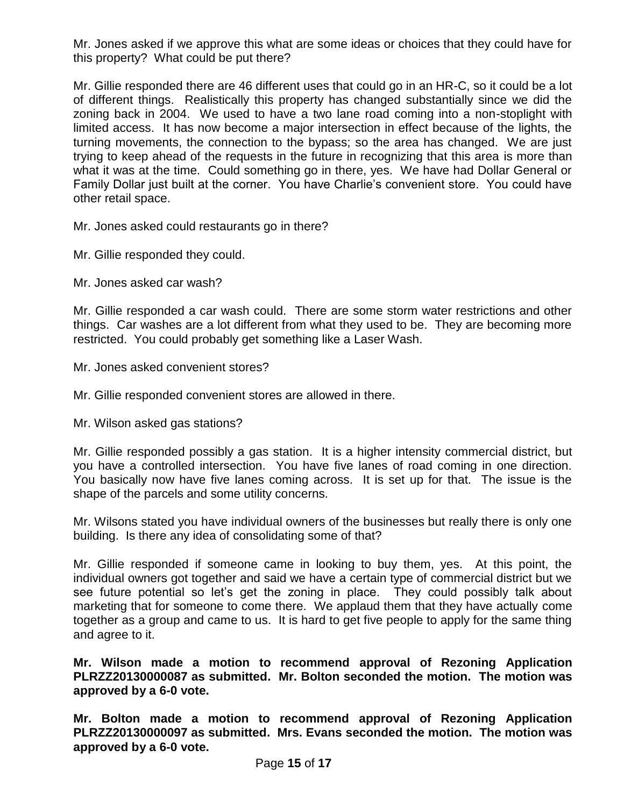Mr. Jones asked if we approve this what are some ideas or choices that they could have for this property? What could be put there?

Mr. Gillie responded there are 46 different uses that could go in an HR-C, so it could be a lot of different things. Realistically this property has changed substantially since we did the zoning back in 2004. We used to have a two lane road coming into a non-stoplight with limited access. It has now become a major intersection in effect because of the lights, the turning movements, the connection to the bypass; so the area has changed. We are just trying to keep ahead of the requests in the future in recognizing that this area is more than what it was at the time. Could something go in there, yes. We have had Dollar General or Family Dollar just built at the corner. You have Charlie's convenient store. You could have other retail space.

Mr. Jones asked could restaurants go in there?

Mr. Gillie responded they could.

Mr. Jones asked car wash?

Mr. Gillie responded a car wash could. There are some storm water restrictions and other things. Car washes are a lot different from what they used to be. They are becoming more restricted. You could probably get something like a Laser Wash.

- Mr. Jones asked convenient stores?
- Mr. Gillie responded convenient stores are allowed in there.

Mr. Wilson asked gas stations?

Mr. Gillie responded possibly a gas station. It is a higher intensity commercial district, but you have a controlled intersection. You have five lanes of road coming in one direction. You basically now have five lanes coming across. It is set up for that. The issue is the shape of the parcels and some utility concerns.

Mr. Wilsons stated you have individual owners of the businesses but really there is only one building. Is there any idea of consolidating some of that?

Mr. Gillie responded if someone came in looking to buy them, yes. At this point, the individual owners got together and said we have a certain type of commercial district but we see future potential so let's get the zoning in place. They could possibly talk about marketing that for someone to come there. We applaud them that they have actually come together as a group and came to us. It is hard to get five people to apply for the same thing and agree to it.

**Mr. Wilson made a motion to recommend approval of Rezoning Application PLRZZ20130000087 as submitted. Mr. Bolton seconded the motion. The motion was approved by a 6-0 vote.** 

**Mr. Bolton made a motion to recommend approval of Rezoning Application PLRZZ20130000097 as submitted. Mrs. Evans seconded the motion. The motion was approved by a 6-0 vote.**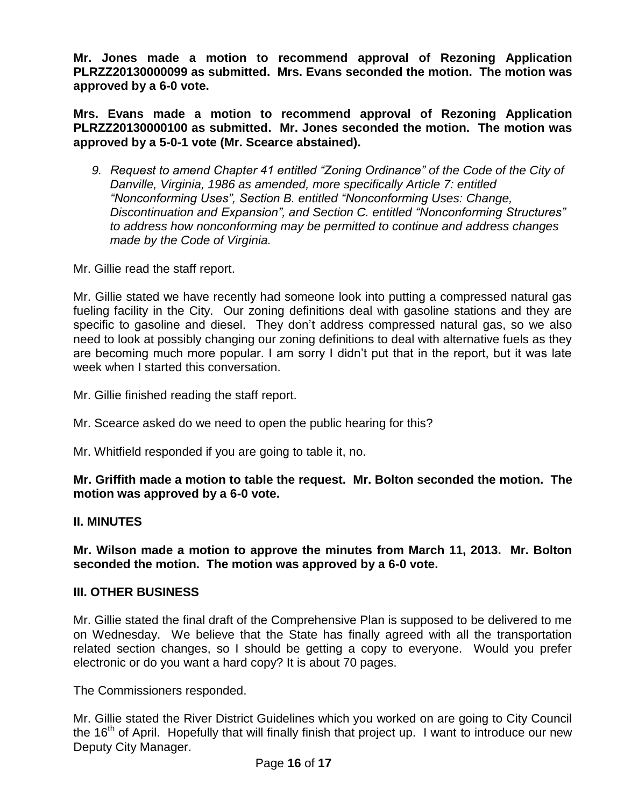**Mr. Jones made a motion to recommend approval of Rezoning Application PLRZZ20130000099 as submitted. Mrs. Evans seconded the motion. The motion was approved by a 6-0 vote.** 

**Mrs. Evans made a motion to recommend approval of Rezoning Application PLRZZ20130000100 as submitted. Mr. Jones seconded the motion. The motion was approved by a 5-0-1 vote (Mr. Scearce abstained).** 

*9. Request to amend Chapter 41 entitled "Zoning Ordinance" of the Code of the City of Danville, Virginia, 1986 as amended, more specifically Article 7: entitled "Nonconforming Uses", Section B. entitled "Nonconforming Uses: Change, Discontinuation and Expansion", and Section C. entitled "Nonconforming Structures" to address how nonconforming may be permitted to continue and address changes made by the Code of Virginia.*

Mr. Gillie read the staff report.

Mr. Gillie stated we have recently had someone look into putting a compressed natural gas fueling facility in the City. Our zoning definitions deal with gasoline stations and they are specific to gasoline and diesel. They don't address compressed natural gas, so we also need to look at possibly changing our zoning definitions to deal with alternative fuels as they are becoming much more popular. I am sorry I didn't put that in the report, but it was late week when I started this conversation.

Mr. Gillie finished reading the staff report.

Mr. Scearce asked do we need to open the public hearing for this?

Mr. Whitfield responded if you are going to table it, no.

# **Mr. Griffith made a motion to table the request. Mr. Bolton seconded the motion. The motion was approved by a 6-0 vote.**

## **II. MINUTES**

**Mr. Wilson made a motion to approve the minutes from March 11, 2013. Mr. Bolton seconded the motion. The motion was approved by a 6-0 vote.**

## **III. OTHER BUSINESS**

Mr. Gillie stated the final draft of the Comprehensive Plan is supposed to be delivered to me on Wednesday. We believe that the State has finally agreed with all the transportation related section changes, so I should be getting a copy to everyone. Would you prefer electronic or do you want a hard copy? It is about 70 pages.

The Commissioners responded.

Mr. Gillie stated the River District Guidelines which you worked on are going to City Council the 16<sup>th</sup> of April. Hopefully that will finally finish that project up. I want to introduce our new Deputy City Manager.